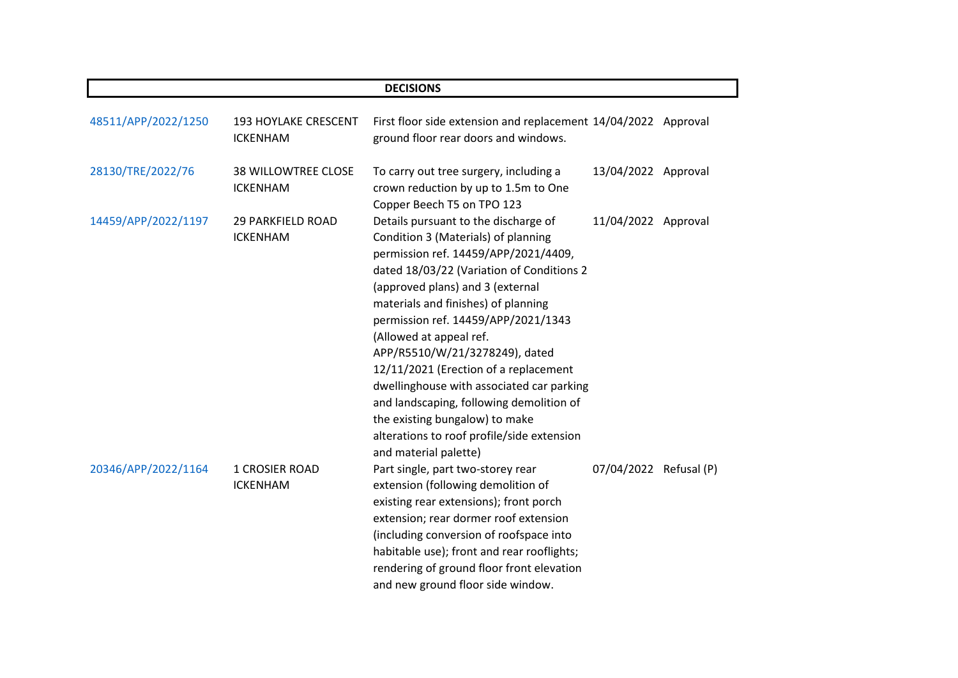| <b>DECISIONS</b>    |                                               |                                                                                                                                                                                                                                                                                                                                                                                                                                                                                                                                                                                            |                        |  |  |
|---------------------|-----------------------------------------------|--------------------------------------------------------------------------------------------------------------------------------------------------------------------------------------------------------------------------------------------------------------------------------------------------------------------------------------------------------------------------------------------------------------------------------------------------------------------------------------------------------------------------------------------------------------------------------------------|------------------------|--|--|
| 48511/APP/2022/1250 | 193 HOYLAKE CRESCENT<br><b>ICKENHAM</b>       | First floor side extension and replacement 14/04/2022 Approval<br>ground floor rear doors and windows.                                                                                                                                                                                                                                                                                                                                                                                                                                                                                     |                        |  |  |
| 28130/TRE/2022/76   | <b>38 WILLOWTREE CLOSE</b><br><b>ICKENHAM</b> | To carry out tree surgery, including a<br>crown reduction by up to 1.5m to One<br>Copper Beech T5 on TPO 123                                                                                                                                                                                                                                                                                                                                                                                                                                                                               | 13/04/2022 Approval    |  |  |
| 14459/APP/2022/1197 | <b>29 PARKFIELD ROAD</b><br><b>ICKENHAM</b>   | Details pursuant to the discharge of<br>Condition 3 (Materials) of planning<br>permission ref. 14459/APP/2021/4409,<br>dated 18/03/22 (Variation of Conditions 2<br>(approved plans) and 3 (external<br>materials and finishes) of planning<br>permission ref. 14459/APP/2021/1343<br>(Allowed at appeal ref.<br>APP/R5510/W/21/3278249), dated<br>12/11/2021 (Erection of a replacement<br>dwellinghouse with associated car parking<br>and landscaping, following demolition of<br>the existing bungalow) to make<br>alterations to roof profile/side extension<br>and material palette) | 11/04/2022 Approval    |  |  |
| 20346/APP/2022/1164 | <b>1 CROSIER ROAD</b><br><b>ICKENHAM</b>      | Part single, part two-storey rear<br>extension (following demolition of<br>existing rear extensions); front porch<br>extension; rear dormer roof extension<br>(including conversion of roofspace into<br>habitable use); front and rear rooflights;<br>rendering of ground floor front elevation<br>and new ground floor side window.                                                                                                                                                                                                                                                      | 07/04/2022 Refusal (P) |  |  |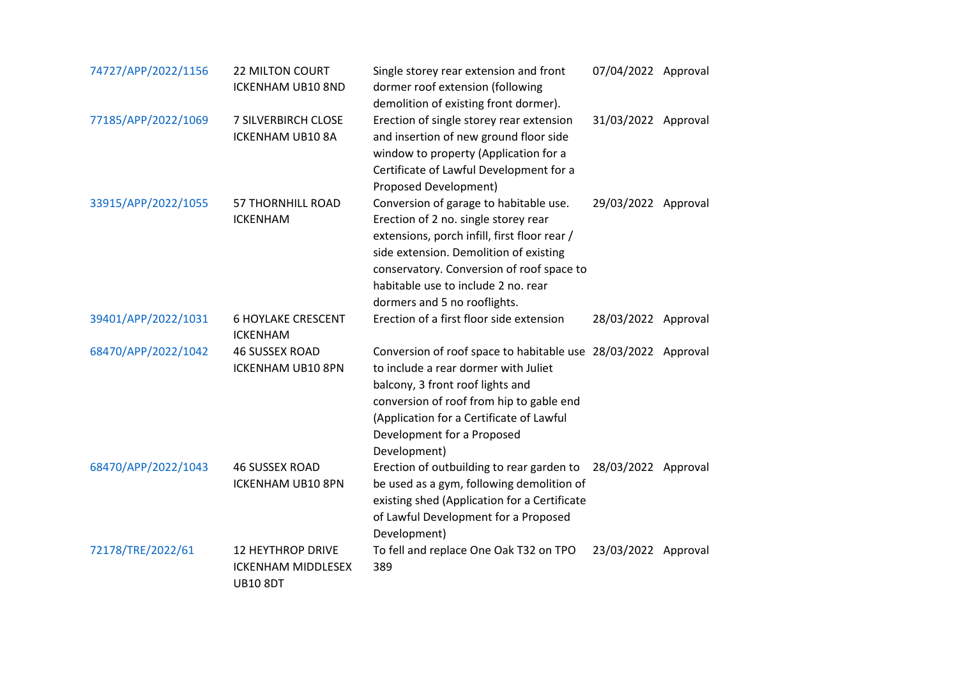| 74727/APP/2022/1156 | <b>22 MILTON COURT</b><br><b>ICKENHAM UB10 8ND</b>                       | Single storey rear extension and front<br>dormer roof extension (following<br>demolition of existing front dormer).                                                                                                                                                                          | 07/04/2022 Approval |  |
|---------------------|--------------------------------------------------------------------------|----------------------------------------------------------------------------------------------------------------------------------------------------------------------------------------------------------------------------------------------------------------------------------------------|---------------------|--|
| 77185/APP/2022/1069 | 7 SILVERBIRCH CLOSE<br>ICKENHAM UB10 8A                                  | Erection of single storey rear extension<br>and insertion of new ground floor side<br>window to property (Application for a<br>Certificate of Lawful Development for a<br>Proposed Development)                                                                                              | 31/03/2022 Approval |  |
| 33915/APP/2022/1055 | <b>57 THORNHILL ROAD</b><br><b>ICKENHAM</b>                              | Conversion of garage to habitable use.<br>Erection of 2 no. single storey rear<br>extensions, porch infill, first floor rear /<br>side extension. Demolition of existing<br>conservatory. Conversion of roof space to<br>habitable use to include 2 no. rear<br>dormers and 5 no rooflights. | 29/03/2022 Approval |  |
| 39401/APP/2022/1031 | <b>6 HOYLAKE CRESCENT</b><br><b>ICKENHAM</b>                             | Erection of a first floor side extension                                                                                                                                                                                                                                                     | 28/03/2022 Approval |  |
| 68470/APP/2022/1042 | <b>46 SUSSEX ROAD</b><br><b>ICKENHAM UB10 8PN</b>                        | Conversion of roof space to habitable use 28/03/2022 Approval<br>to include a rear dormer with Juliet<br>balcony, 3 front roof lights and<br>conversion of roof from hip to gable end<br>(Application for a Certificate of Lawful<br>Development for a Proposed<br>Development)              |                     |  |
| 68470/APP/2022/1043 | <b>46 SUSSEX ROAD</b><br>ICKENHAM UB10 8PN                               | Erection of outbuilding to rear garden to<br>be used as a gym, following demolition of<br>existing shed (Application for a Certificate<br>of Lawful Development for a Proposed<br>Development)                                                                                               | 28/03/2022 Approval |  |
| 72178/TRE/2022/61   | <b>12 HEYTHROP DRIVE</b><br><b>ICKENHAM MIDDLESEX</b><br><b>UB10 8DT</b> | To fell and replace One Oak T32 on TPO<br>389                                                                                                                                                                                                                                                | 23/03/2022 Approval |  |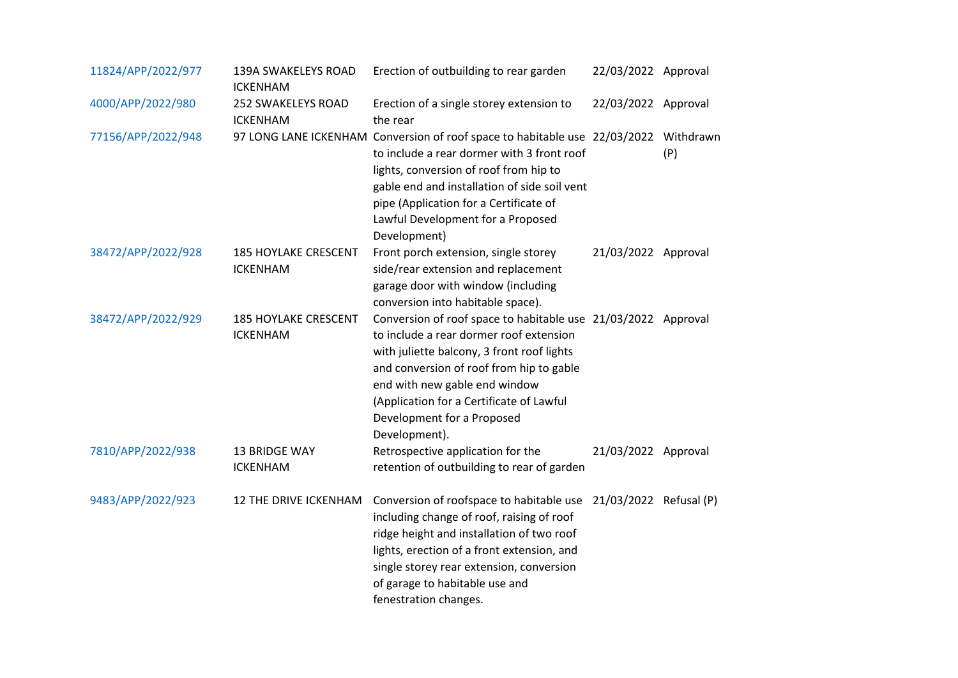| 11824/APP/2022/977 | 139A SWAKELEYS ROAD<br><b>ICKENHAM</b>         | Erection of outbuilding to rear garden                                                                                                                                                                                                                                                                                         | 22/03/2022 Approval |     |
|--------------------|------------------------------------------------|--------------------------------------------------------------------------------------------------------------------------------------------------------------------------------------------------------------------------------------------------------------------------------------------------------------------------------|---------------------|-----|
| 4000/APP/2022/980  | 252 SWAKELEYS ROAD<br><b>ICKENHAM</b>          | Erection of a single storey extension to<br>the rear                                                                                                                                                                                                                                                                           | 22/03/2022 Approval |     |
| 77156/APP/2022/948 |                                                | 97 LONG LANE ICKENHAM Conversion of roof space to habitable use 22/03/2022 Withdrawn<br>to include a rear dormer with 3 front roof<br>lights, conversion of roof from hip to<br>gable end and installation of side soil vent<br>pipe (Application for a Certificate of<br>Lawful Development for a Proposed<br>Development)    |                     | (P) |
| 38472/APP/2022/928 | <b>185 HOYLAKE CRESCENT</b><br><b>ICKENHAM</b> | Front porch extension, single storey<br>side/rear extension and replacement<br>garage door with window (including<br>conversion into habitable space).                                                                                                                                                                         | 21/03/2022 Approval |     |
| 38472/APP/2022/929 | <b>185 HOYLAKE CRESCENT</b><br><b>ICKENHAM</b> | Conversion of roof space to habitable use 21/03/2022 Approval<br>to include a rear dormer roof extension<br>with juliette balcony, 3 front roof lights<br>and conversion of roof from hip to gable<br>end with new gable end window<br>(Application for a Certificate of Lawful<br>Development for a Proposed<br>Development). |                     |     |
| 7810/APP/2022/938  | 13 BRIDGE WAY<br><b>ICKENHAM</b>               | Retrospective application for the<br>retention of outbuilding to rear of garden                                                                                                                                                                                                                                                | 21/03/2022 Approval |     |
| 9483/APP/2022/923  | 12 THE DRIVE ICKENHAM                          | Conversion of roofspace to habitable use 21/03/2022 Refusal (P)<br>including change of roof, raising of roof<br>ridge height and installation of two roof<br>lights, erection of a front extension, and<br>single storey rear extension, conversion<br>of garage to habitable use and<br>fenestration changes.                 |                     |     |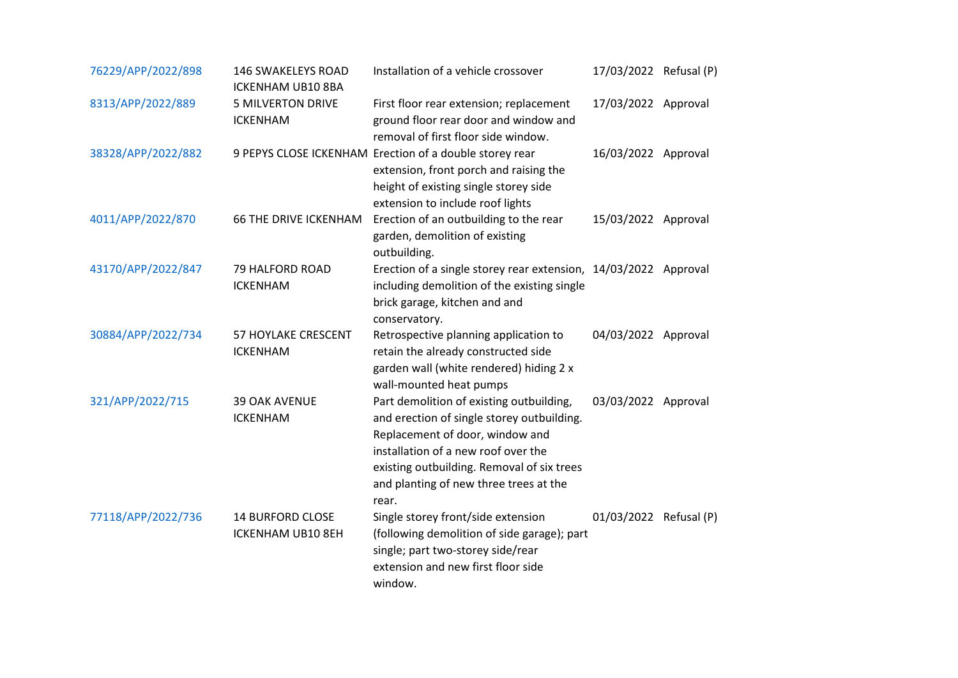| 76229/APP/2022/898 | 146 SWAKELEYS ROAD<br>ICKENHAM UB10 8BA      | Installation of a vehicle crossover                                                                                                                                                                                                                               | 17/03/2022 Refusal (P) |  |
|--------------------|----------------------------------------------|-------------------------------------------------------------------------------------------------------------------------------------------------------------------------------------------------------------------------------------------------------------------|------------------------|--|
| 8313/APP/2022/889  | <b>5 MILVERTON DRIVE</b><br><b>ICKENHAM</b>  | First floor rear extension; replacement<br>ground floor rear door and window and<br>removal of first floor side window.                                                                                                                                           | 17/03/2022 Approval    |  |
| 38328/APP/2022/882 |                                              | 9 PEPYS CLOSE ICKENHAM Erection of a double storey rear<br>extension, front porch and raising the<br>height of existing single storey side<br>extension to include roof lights                                                                                    | 16/03/2022 Approval    |  |
| 4011/APP/2022/870  | <b>66 THE DRIVE ICKENHAM</b>                 | Erection of an outbuilding to the rear<br>garden, demolition of existing<br>outbuilding.                                                                                                                                                                          | 15/03/2022 Approval    |  |
| 43170/APP/2022/847 | 79 HALFORD ROAD<br><b>ICKENHAM</b>           | Erection of a single storey rear extension, 14/03/2022 Approval<br>including demolition of the existing single<br>brick garage, kitchen and and<br>conservatory.                                                                                                  |                        |  |
| 30884/APP/2022/734 | 57 HOYLAKE CRESCENT<br><b>ICKENHAM</b>       | Retrospective planning application to<br>retain the already constructed side<br>garden wall (white rendered) hiding 2 x<br>wall-mounted heat pumps                                                                                                                | 04/03/2022 Approval    |  |
| 321/APP/2022/715   | <b>39 OAK AVENUE</b><br><b>ICKENHAM</b>      | Part demolition of existing outbuilding,<br>and erection of single storey outbuilding.<br>Replacement of door, window and<br>installation of a new roof over the<br>existing outbuilding. Removal of six trees<br>and planting of new three trees at the<br>rear. | 03/03/2022 Approval    |  |
| 77118/APP/2022/736 | <b>14 BURFORD CLOSE</b><br>ICKENHAM UB10 8EH | Single storey front/side extension<br>(following demolition of side garage); part<br>single; part two-storey side/rear<br>extension and new first floor side<br>window.                                                                                           | 01/03/2022 Refusal (P) |  |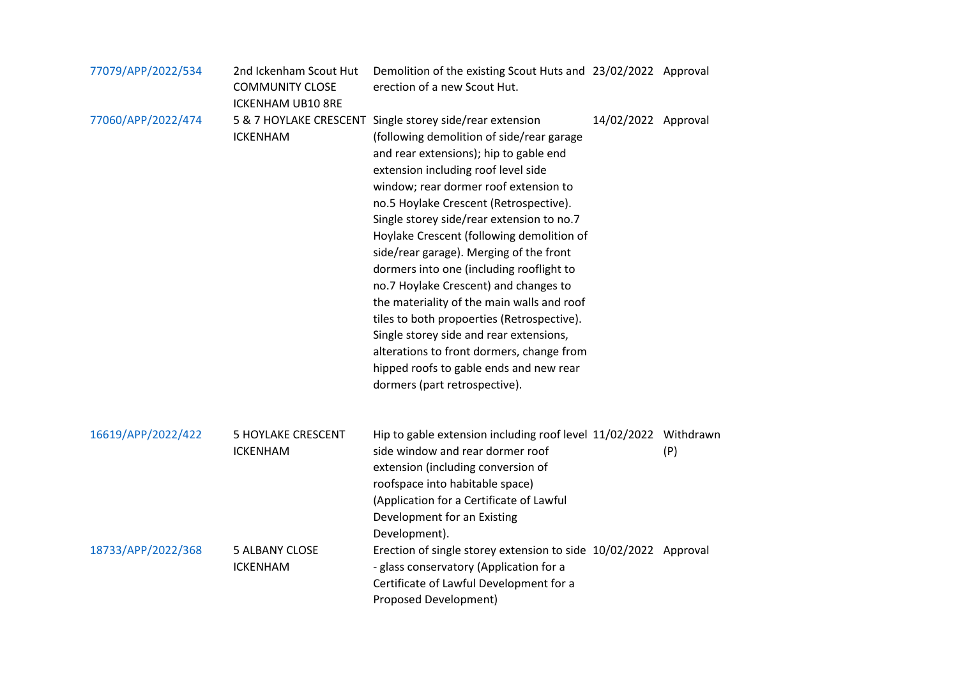| 77079/APP/2022/534 | 2nd Ickenham Scout Hut<br><b>COMMUNITY CLOSE</b><br><b>ICKENHAM UB10 8RE</b> | Demolition of the existing Scout Huts and 23/02/2022 Approval<br>erection of a new Scout Hut.                                                                                                                                                                                                                                                                                                                                                                                                                                                                                                                                                                                                                                                                       |                     |     |
|--------------------|------------------------------------------------------------------------------|---------------------------------------------------------------------------------------------------------------------------------------------------------------------------------------------------------------------------------------------------------------------------------------------------------------------------------------------------------------------------------------------------------------------------------------------------------------------------------------------------------------------------------------------------------------------------------------------------------------------------------------------------------------------------------------------------------------------------------------------------------------------|---------------------|-----|
| 77060/APP/2022/474 | <b>ICKENHAM</b>                                                              | 5 & 7 HOYLAKE CRESCENT Single storey side/rear extension<br>(following demolition of side/rear garage<br>and rear extensions); hip to gable end<br>extension including roof level side<br>window; rear dormer roof extension to<br>no.5 Hoylake Crescent (Retrospective).<br>Single storey side/rear extension to no.7<br>Hoylake Crescent (following demolition of<br>side/rear garage). Merging of the front<br>dormers into one (including rooflight to<br>no.7 Hoylake Crescent) and changes to<br>the materiality of the main walls and roof<br>tiles to both propoerties (Retrospective).<br>Single storey side and rear extensions,<br>alterations to front dormers, change from<br>hipped roofs to gable ends and new rear<br>dormers (part retrospective). | 14/02/2022 Approval |     |
| 16619/APP/2022/422 | <b>5 HOYLAKE CRESCENT</b><br><b>ICKENHAM</b>                                 | Hip to gable extension including roof level 11/02/2022 Withdrawn<br>side window and rear dormer roof<br>extension (including conversion of<br>roofspace into habitable space)<br>(Application for a Certificate of Lawful<br>Development for an Existing<br>Development).                                                                                                                                                                                                                                                                                                                                                                                                                                                                                           |                     | (P) |
| 18733/APP/2022/368 | <b>5 ALBANY CLOSE</b><br><b>ICKENHAM</b>                                     | Erection of single storey extension to side 10/02/2022 Approval<br>- glass conservatory (Application for a<br>Certificate of Lawful Development for a<br><b>Proposed Development)</b>                                                                                                                                                                                                                                                                                                                                                                                                                                                                                                                                                                               |                     |     |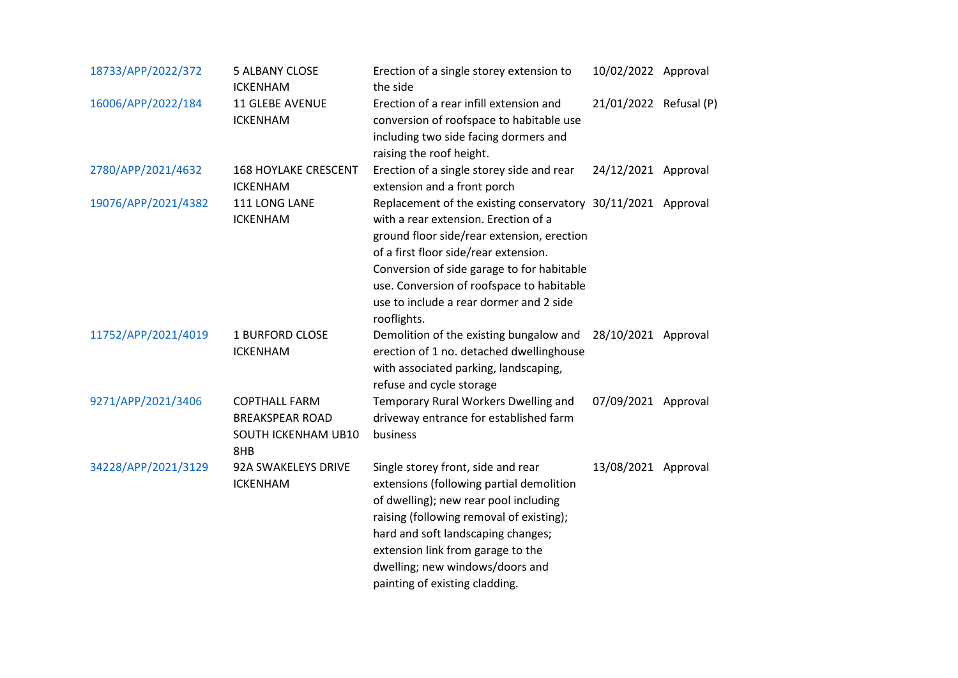| 18733/APP/2022/372  | <b>5 ALBANY CLOSE</b><br><b>ICKENHAM</b>                                     | Erection of a single storey extension to<br>the side                                                                                                                                                                                                                                                                                             | 10/02/2022 Approval    |  |
|---------------------|------------------------------------------------------------------------------|--------------------------------------------------------------------------------------------------------------------------------------------------------------------------------------------------------------------------------------------------------------------------------------------------------------------------------------------------|------------------------|--|
| 16006/APP/2022/184  | <b>11 GLEBE AVENUE</b><br><b>ICKENHAM</b>                                    | Erection of a rear infill extension and<br>conversion of roofspace to habitable use<br>including two side facing dormers and<br>raising the roof height.                                                                                                                                                                                         | 21/01/2022 Refusal (P) |  |
| 2780/APP/2021/4632  | <b>168 HOYLAKE CRESCENT</b><br><b>ICKENHAM</b>                               | Erection of a single storey side and rear<br>extension and a front porch                                                                                                                                                                                                                                                                         | 24/12/2021 Approval    |  |
| 19076/APP/2021/4382 | 111 LONG LANE<br><b>ICKENHAM</b>                                             | Replacement of the existing conservatory 30/11/2021 Approval<br>with a rear extension. Erection of a<br>ground floor side/rear extension, erection<br>of a first floor side/rear extension.<br>Conversion of side garage to for habitable<br>use. Conversion of roofspace to habitable<br>use to include a rear dormer and 2 side<br>rooflights. |                        |  |
| 11752/APP/2021/4019 | <b>1 BURFORD CLOSE</b><br><b>ICKENHAM</b>                                    | Demolition of the existing bungalow and 28/10/2021 Approval<br>erection of 1 no. detached dwellinghouse<br>with associated parking, landscaping,<br>refuse and cycle storage                                                                                                                                                                     |                        |  |
| 9271/APP/2021/3406  | <b>COPTHALL FARM</b><br><b>BREAKSPEAR ROAD</b><br>SOUTH ICKENHAM UB10<br>8HB | Temporary Rural Workers Dwelling and<br>driveway entrance for established farm<br>business                                                                                                                                                                                                                                                       | 07/09/2021 Approval    |  |
| 34228/APP/2021/3129 | 92A SWAKELEYS DRIVE<br><b>ICKENHAM</b>                                       | Single storey front, side and rear<br>extensions (following partial demolition<br>of dwelling); new rear pool including<br>raising (following removal of existing);<br>hard and soft landscaping changes;<br>extension link from garage to the<br>dwelling; new windows/doors and<br>painting of existing cladding.                              | 13/08/2021 Approval    |  |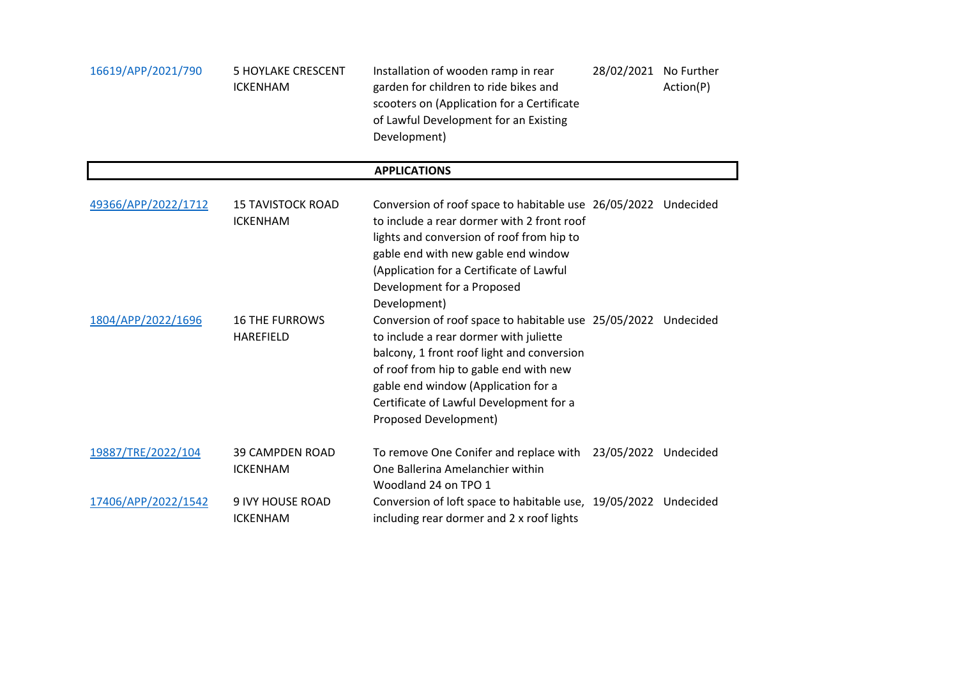| 16619/APP/2021/790  | <b>5 HOYLAKE CRESCENT</b><br><b>ICKENHAM</b> | Installation of wooden ramp in rear<br>garden for children to ride bikes and<br>scooters on (Application for a Certificate<br>of Lawful Development for an Existing<br>Development)                                                                                                                                | 28/02/2021 No Further | Action(P) |
|---------------------|----------------------------------------------|--------------------------------------------------------------------------------------------------------------------------------------------------------------------------------------------------------------------------------------------------------------------------------------------------------------------|-----------------------|-----------|
|                     |                                              | <b>APPLICATIONS</b>                                                                                                                                                                                                                                                                                                |                       |           |
| 49366/APP/2022/1712 | <b>15 TAVISTOCK ROAD</b><br><b>ICKENHAM</b>  | Conversion of roof space to habitable use 26/05/2022 Undecided<br>to include a rear dormer with 2 front roof<br>lights and conversion of roof from hip to<br>gable end with new gable end window<br>(Application for a Certificate of Lawful<br>Development for a Proposed<br>Development)                         |                       |           |
| 1804/APP/2022/1696  | <b>16 THE FURROWS</b><br><b>HAREFIELD</b>    | Conversion of roof space to habitable use 25/05/2022 Undecided<br>to include a rear dormer with juliette<br>balcony, 1 front roof light and conversion<br>of roof from hip to gable end with new<br>gable end window (Application for a<br>Certificate of Lawful Development for a<br><b>Proposed Development)</b> |                       |           |
| 19887/TRE/2022/104  | <b>39 CAMPDEN ROAD</b><br><b>ICKENHAM</b>    | To remove One Conifer and replace with 23/05/2022 Undecided<br>One Ballerina Amelanchier within<br>Woodland 24 on TPO 1                                                                                                                                                                                            |                       |           |
| 17406/APP/2022/1542 | <b>9 IVY HOUSE ROAD</b><br><b>ICKENHAM</b>   | Conversion of loft space to habitable use, 19/05/2022 Undecided<br>including rear dormer and 2 x roof lights                                                                                                                                                                                                       |                       |           |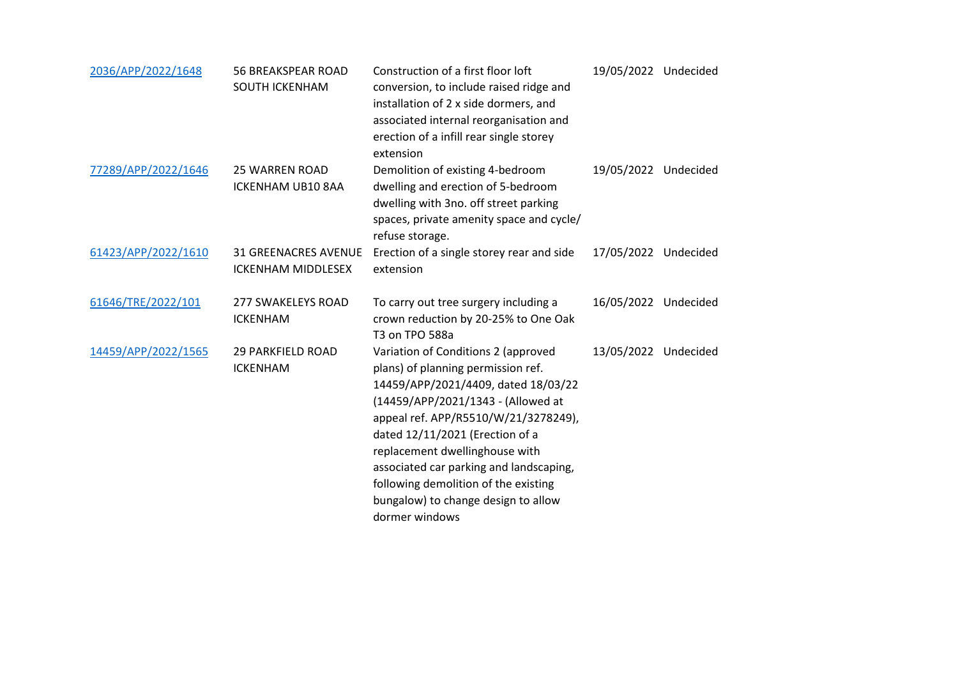| 2036/APP/2022/1648  | <b>56 BREAKSPEAR ROAD</b><br><b>SOUTH ICKENHAM</b>       | Construction of a first floor loft<br>conversion, to include raised ridge and<br>installation of 2 x side dormers, and<br>associated internal reorganisation and<br>erection of a infill rear single storey<br>extension                                                                                                                                                                                        | 19/05/2022 Undecided |  |
|---------------------|----------------------------------------------------------|-----------------------------------------------------------------------------------------------------------------------------------------------------------------------------------------------------------------------------------------------------------------------------------------------------------------------------------------------------------------------------------------------------------------|----------------------|--|
| 77289/APP/2022/1646 | <b>25 WARREN ROAD</b><br>ICKENHAM UB10 8AA               | Demolition of existing 4-bedroom<br>dwelling and erection of 5-bedroom<br>dwelling with 3no. off street parking<br>spaces, private amenity space and cycle/<br>refuse storage.                                                                                                                                                                                                                                  | 19/05/2022 Undecided |  |
| 61423/APP/2022/1610 | <b>31 GREENACRES AVENUE</b><br><b>ICKENHAM MIDDLESEX</b> | Erection of a single storey rear and side<br>extension                                                                                                                                                                                                                                                                                                                                                          | 17/05/2022 Undecided |  |
| 61646/TRE/2022/101  | <b>277 SWAKELEYS ROAD</b><br><b>ICKENHAM</b>             | To carry out tree surgery including a<br>crown reduction by 20-25% to One Oak<br>T3 on TPO 588a                                                                                                                                                                                                                                                                                                                 | 16/05/2022 Undecided |  |
| 14459/APP/2022/1565 | <b>29 PARKFIELD ROAD</b><br><b>ICKENHAM</b>              | Variation of Conditions 2 (approved<br>plans) of planning permission ref.<br>14459/APP/2021/4409, dated 18/03/22<br>(14459/APP/2021/1343 - (Allowed at<br>appeal ref. APP/R5510/W/21/3278249),<br>dated 12/11/2021 (Erection of a<br>replacement dwellinghouse with<br>associated car parking and landscaping,<br>following demolition of the existing<br>bungalow) to change design to allow<br>dormer windows | 13/05/2022 Undecided |  |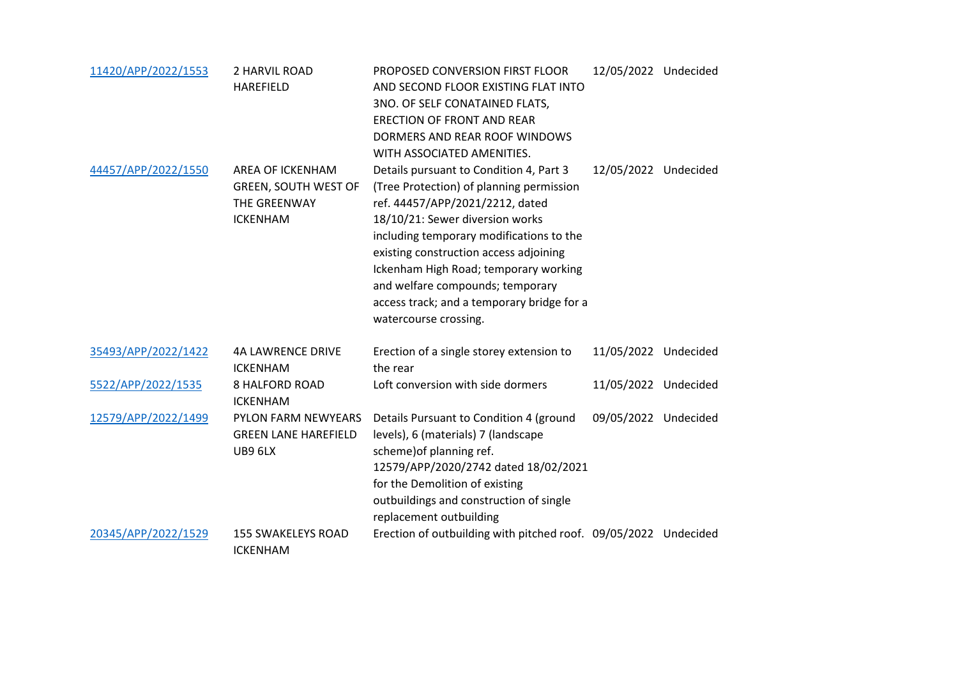| 11420/APP/2022/1553 | 2 HARVIL ROAD<br><b>HAREFIELD</b>                                                  | PROPOSED CONVERSION FIRST FLOOR<br>AND SECOND FLOOR EXISTING FLAT INTO<br>3NO. OF SELF CONATAINED FLATS,<br><b>ERECTION OF FRONT AND REAR</b><br>DORMERS AND REAR ROOF WINDOWS<br>WITH ASSOCIATED AMENITIES.                                                                                                                                                                                        | 12/05/2022 Undecided |  |
|---------------------|------------------------------------------------------------------------------------|-----------------------------------------------------------------------------------------------------------------------------------------------------------------------------------------------------------------------------------------------------------------------------------------------------------------------------------------------------------------------------------------------------|----------------------|--|
| 44457/APP/2022/1550 | AREA OF ICKENHAM<br><b>GREEN, SOUTH WEST OF</b><br>THE GREENWAY<br><b>ICKENHAM</b> | Details pursuant to Condition 4, Part 3<br>(Tree Protection) of planning permission<br>ref. 44457/APP/2021/2212, dated<br>18/10/21: Sewer diversion works<br>including temporary modifications to the<br>existing construction access adjoining<br>Ickenham High Road; temporary working<br>and welfare compounds; temporary<br>access track; and a temporary bridge for a<br>watercourse crossing. | 12/05/2022 Undecided |  |
| 35493/APP/2022/1422 | <b>4A LAWRENCE DRIVE</b><br><b>ICKENHAM</b>                                        | Erection of a single storey extension to<br>the rear                                                                                                                                                                                                                                                                                                                                                | 11/05/2022 Undecided |  |
| 5522/APP/2022/1535  | <b>8 HALFORD ROAD</b><br><b>ICKENHAM</b>                                           | Loft conversion with side dormers                                                                                                                                                                                                                                                                                                                                                                   | 11/05/2022 Undecided |  |
| 12579/APP/2022/1499 | PYLON FARM NEWYEARS<br><b>GREEN LANE HAREFIELD</b><br>UB9 6LX                      | Details Pursuant to Condition 4 (ground<br>levels), 6 (materials) 7 (landscape<br>scheme) of planning ref.<br>12579/APP/2020/2742 dated 18/02/2021<br>for the Demolition of existing<br>outbuildings and construction of single<br>replacement outbuilding                                                                                                                                          | 09/05/2022 Undecided |  |
| 20345/APP/2022/1529 | <b>155 SWAKELEYS ROAD</b><br><b>ICKENHAM</b>                                       | Erection of outbuilding with pitched roof. 09/05/2022 Undecided                                                                                                                                                                                                                                                                                                                                     |                      |  |